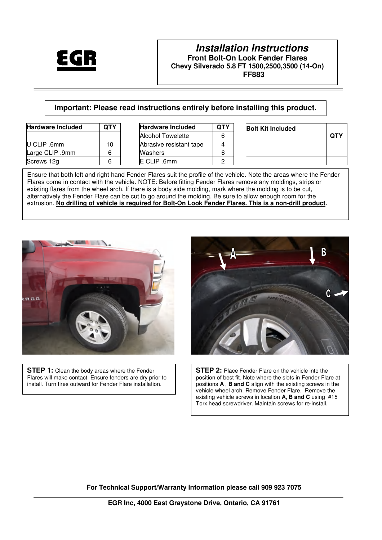

# **Important: Please read instructions entirely before installing this product.**

| <b>Hardware Included</b> | QTY | <b>Hardware Included</b> | <b>QTY</b> | <b>Bolt Kit Included</b> |
|--------------------------|-----|--------------------------|------------|--------------------------|
|                          |     | <b>Alcohol Towelette</b> | 6          |                          |
| U CLIP .6mm              | ١O  | Abrasive resistant tape  |            |                          |
| Large CLIP .9mm          |     | Washers                  | 6          |                          |
| Screws 12g               |     | E CLIP .6mm              |            |                          |

| <b>Hardware Included</b> | ΩТΥ |
|--------------------------|-----|
| <b>Alcohol Towelette</b> | հ   |
| Abrasive resistant tape  |     |
| Washers                  | ĥ   |
| E CLIP .6mm              |     |

| <b>Hardware Included</b> | <b>QTY</b> | <b>Hardware Included</b> | <b>QTY</b> | <b>Bolt Kit Included</b> |
|--------------------------|------------|--------------------------|------------|--------------------------|
|                          |            | <b>Alcohol Towelette</b> | 6          |                          |
| U CLIP .6mm              | 10         | Abrasive resistant tape  |            |                          |
| Large CLIP .9mm          |            | Washers                  | 6          |                          |
| Screws 12g               |            | E CLIP .6mm              |            |                          |

Ensure that both left and right hand Fender Flares suit the profile of the vehicle. Note the areas where the Fender Flares come in contact with the vehicle. NOTE: Before fitting Fender Flares remove any moldings, strips or existing flares from the wheel arch. If there is a body side molding, mark where the molding is to be cut, alternatively the Fender Flare can be cut to go around the molding. Be sure to allow enough room for the extrusion. **No drilling of vehicle is required for Bolt-On Look Fender Flares. This is a non-drill product.** 



**STEP 1:** Clean the body areas where the Fender Flares will make contact. Ensure fenders are dry prior to install. Turn tires outward for Fender Flare installation.



**STEP 2:** Place Fender Flare on the vehicle into the position of best fit. Note where the slots in Fender Flare at positions **A** , **B and C** align with the existing screws in the vehicle wheel arch. Remove Fender Flare. Remove the existing vehicle screws in location **A, B and C** using #15 Torx head screwdriver. Maintain screws for re-install.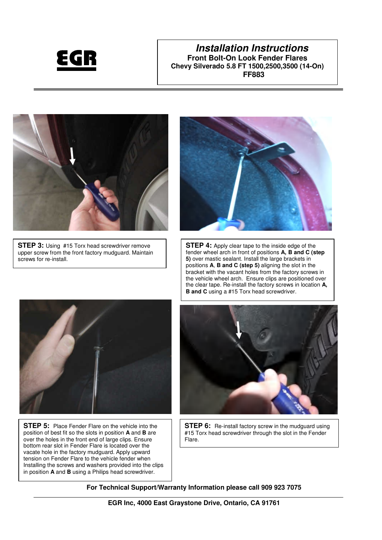



**STEP 3:** Using #15 Torx head screwdriver remove upper screw from the front factory mudguard. Maintain screws for re-install.



**STEP 4:** Apply clear tape to the inside edge of the fender wheel arch in front of positions **A, B and C (step 5)** over mastic sealant. Install the large brackets in positions **A**, **B and C (step 5)** aligning the slot in the bracket with the vacant holes from the factory screws in the vehicle wheel arch. Ensure clips are positioned over the clear tape. Re-install the factory screws in location **A, B and C** using a #15 Torx head screwdriver.



 over the holes in the front end of large clips. Ensure **STEP 5:** Place Fender Flare on the vehicle into the position of best fit so the slots in position **A** and **B** are bottom rear slot in Fender Flare is located over the vacate hole in the factory mudguard. Apply upward tension on Fender Flare to the vehicle fender when Installing the screws and washers provided into the clips in position **A** and **B** using a Philips head screwdriver.



**STEP 6:** Re-install factory screw in the mudguard using #15 Torx head screwdriver through the slot in the Fender Flare.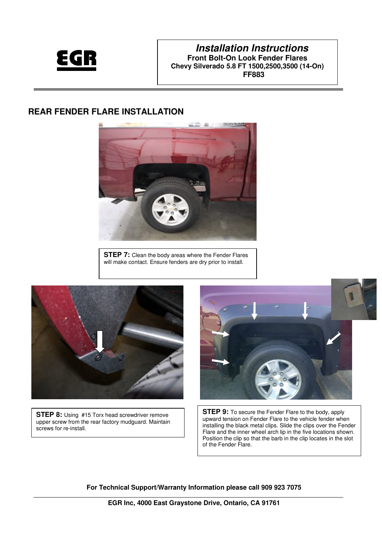

# **REAR FENDER FLARE INSTALLATION**



**STEP 7:** Clean the body areas where the Fender Flares will make contact. Ensure fenders are dry prior to install.



**STEP 8:** Using #15 Torx head screwdriver remove upper screw from the rear factory mudguard. Maintain screws for re-install.



**STEP 9:** To secure the Fender Flare to the body, apply upward tension on Fender Flare to the vehicle fender when installing the black metal clips. Slide the clips over the Fender Flare and the inner wheel arch lip in the five locations shown. Position the clip so that the barb in the clip locates in the slot of the Fender Flare.